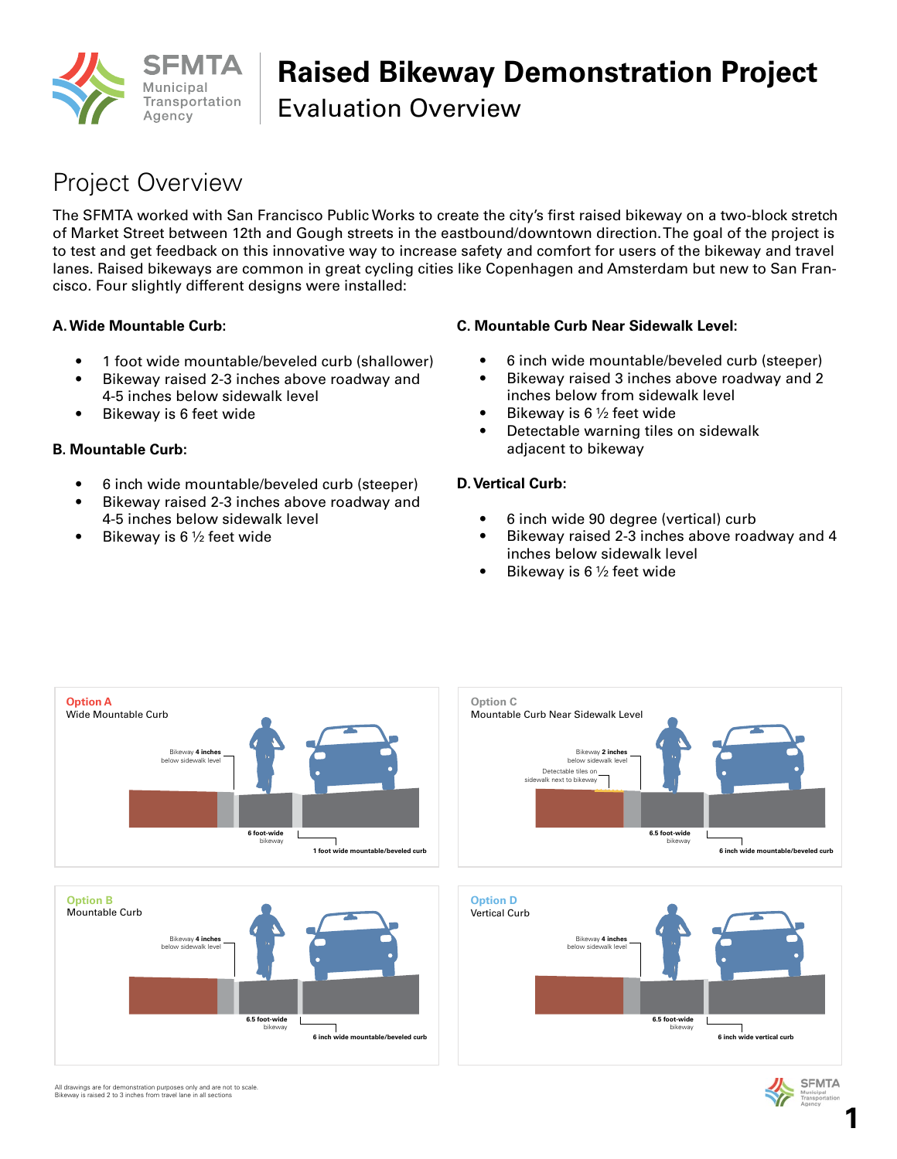

## **Raised Bikeway Demonstration Project**

Evaluation Overview

### Project Overview

The SFMTA worked with San Francisco Public Works to create the city's first raised bikeway on a two-block stretch of Market Street between 12th and Gough streets in the eastbound/downtown direction. The goal of the project is to test and get feedback on this innovative way to increase safety and comfort for users of the bikeway and travel lanes. Raised bikeways are common in great cycling cities like Copenhagen and Amsterdam but new to San Francisco. Four slightly different designs were installed:

#### **A. Wide Mountable Curb:**

- 1 foot wide mountable/beveled curb (shallower)
- Bikeway raised 2-3 inches above roadway and 4-5 inches below sidewalk level
- Bikeway is 6 feet wide

#### **B. Mountable Curb:**

- 6 inch wide mountable/beveled curb (steeper)
- Bikeway raised 2-3 inches above roadway and 4-5 inches below sidewalk level
- Bikeway is 6  $\frac{1}{2}$  feet wide

#### **C. Mountable Curb Near Sidewalk Level:**

- 6 inch wide mountable/beveled curb (steeper)
- Bikeway raised 3 inches above roadway and 2 inches below from sidewalk level
- Bikeway is 6  $\frac{1}{2}$  feet wide
- Detectable warning tiles on sidewalk adjacent to bikeway

#### **D. Vertical Curb:**

- 6 inch wide 90 degree (vertical) curb
- Bikeway raised 2-3 inches above roadway and 4 inches below sidewalk level
- Bikeway is 6  $\frac{1}{2}$  feet wide